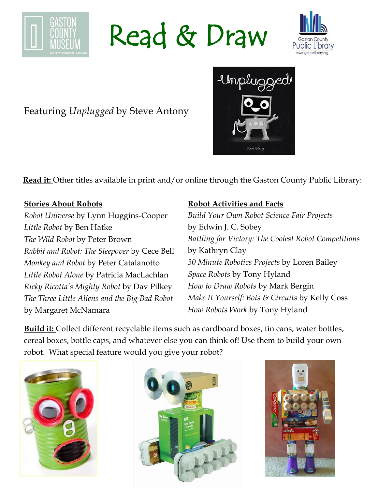

Read & Draw



## Featuring *Unplugged* by Steve Antony

**Read it:** Other titles available in print and/or online through the Gaston County Public Library:

#### **Stories About Robots**

*Robot Universe* by Lynn Huggins-Cooper *Little Robot* by Ben Hatke *The Wild Robot* by Peter Brown *Rabbit and Robot: The Sleepover* by Cece Bell *Monkey and Robot* by Peter Catalanotto *Little Robot Alone* by Patricia MacLachlan *Ricky Ricotta's Mighty Robot* by Dav Pilkey *The Three Little Aliens and the Big Bad Robot*  by Margaret McNamara

### **Robot Activities and Facts**

*Build Your Own Robot Science Fair Projects*  by Edwin J. C. Sobey *Battling for Victory: The Coolest Robot Competitions*  by Kathryn Clay *30 Minute Robotics Projects* by Loren Bailey *Space Robots* by Tony Hyland *How to Draw Robots* by Mark Bergin *Make It Yourself: Bots & Circuits* by Kelly Coss *How Robots Work* by Tony Hyland

**Build it:** Collect different recyclable items such as cardboard boxes, tin cans, water bottles, cereal boxes, bottle caps, and whatever else you can think of! Use them to build your own robot. What special feature would you give your robot?







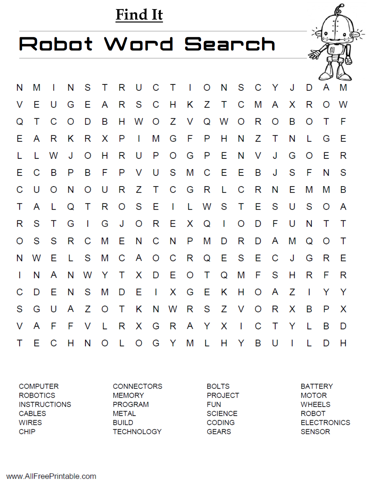## Find It

## Robot Word Search

| N            | Μ            | $\mathbf{I}$ | N       | S            |   |    |              |              |              |       |      | T R U C T I O N S C Y |              |         |        | J            | D            | A       | M      |
|--------------|--------------|--------------|---------|--------------|---|----|--------------|--------------|--------------|-------|------|-----------------------|--------------|---------|--------|--------------|--------------|---------|--------|
| V            | Е            | U            | G       | E            | A |    | R S C H      |              |              | K Z T |      |                       | $\mathbf C$  | M       | A      | X            | R            | $\circ$ | W      |
| Q            | т            | C            | $\circ$ | D            | B | H  | W            | $\circ$      |              | Z V   | Q    | W                     | $\circ$      | R       | O      | B            | O            | Τ       | F      |
| E.           | A            | - R          | Κ       | R            | X | P  | $\mathbf{I}$ | M            | G            | $F$ P |      | H                     | N            | Ζ       | Т      | N            | L            | G       | E      |
| L            | $\mathbf{L}$ | W            | J       | $\Omega$     | Н | R  | U            | P            | $\circ$      | G     | P E  |                       | N            | $\vee$  | J      | G            | O            | Ε       | R      |
| E.           | C            | - B          | P       | B            | F | P  | V            | U            | S M C        |       |      | $-E$                  | $-E$         | B       | J      | S            | F            | N       | S      |
| С            | U            | $\circ$      | N       | O            | U | R  | Z            | T            | $\mathbf C$  | G     | R    | - Li                  | C            | R       | N      | Е            | M            | M       | B      |
| T            | A            | L            | Q       | T            | R | O  | <b>S</b>     | Е            | $\mathbf{1}$ |       |      | L W S T E             |              |         | S      | U            | S            | O       | A      |
| R            | S            | T            | G       | $\mathbf{I}$ | G | J  | $\circ$      | R            | E.           | X Q   |      | $\mathbf{I}$          | O            | D       | F      | U            | N            | т       | $\top$ |
| O            | S            | - S          | R       | C            | M | Е  | N            | C            | N            | P     | M    | D                     | R            | D       | A      | M            | Q            | O       | Т      |
| N            | W            | Е            | L.      | S            | Μ | C  | A O C        |              |              | R     | Q    | E S E                 |              |         | C      | J            | G            | R       | Ε      |
| $\mathbf{I}$ | N            | A            | N       | W            | Y | T. | X .          |              | D E          | O T   |      | <b>Q</b>              |              | M F S   |        | H            | R            | F       | R      |
| С            | D            | Ε            | N       | S            | M | D  | Ε            | $\mathbf{I}$ | X            | - G   | - E  | <b>K</b>              | H O          |         | A      | Ζ            | $\mathbf{I}$ | Y       | Y      |
| S            | G            | U            | A       | Z            | O | Т  | Κ            | N            | W            |       | R S  | Z V                   |              | $\circ$ | R      | X            | B            | P       | X      |
| V            | A            | $-F$         | F       | V            | L | R  | X            | G            | R            |       | A Y  | X                     | $\mathbb{R}$ | C       | $\top$ | Y            | L            | B       | D      |
| Τ            | E            | C            | H       | N            | O | L  | O            | G            | Y M          |       | - Li | H                     | $\mathsf{Y}$ | B       | U      | $\mathbf{I}$ |              | D       | Н      |

**COMPUTER ROBOTICS INSTRUCTIONS CABLES WIRES CHIP** 

**CONNECTORS MEMORY PROGRAM METAL BUILD TECHNOLOGY**  **BOLTS PROJECT FUN SCIENCE CODING GEARS** 

**BATTERY MOTOR WHEELS ROBOT ELECTRONICS SENSOR**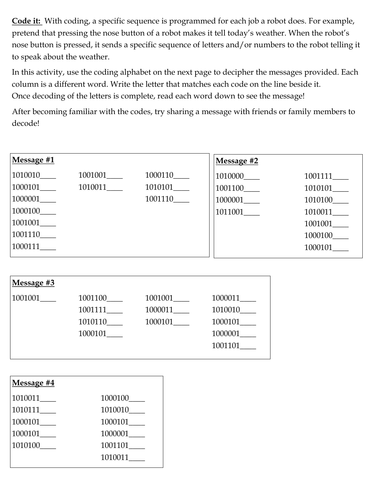**Code it:** With coding, a specific sequence is programmed for each job a robot does. For example, pretend that pressing the nose button of a robot makes it tell today's weather. When the robot's nose button is pressed, it sends a specific sequence of letters and/or numbers to the robot telling it to speak about the weather.

In this activity, use the coding alphabet on the next page to decipher the messages provided. Each column is a different word. Write the letter that matches each code on the line beside it. Once decoding of the letters is complete, read each word down to see the message!

After becoming familiar with the codes, try sharing a message with friends or family members to decode!

| Message #1                 |                            |         | Message #2 |         |
|----------------------------|----------------------------|---------|------------|---------|
| 1010010                    | $1001001$ <sub>_____</sub> | 1000110 | 1010000    | 1001111 |
| 1000101                    | 1010011                    |         | 1001100    | 1010101 |
| $1000001$ <sub>_____</sub> |                            | 1001110 | 1000001    | 1010100 |
| 1000100                    |                            |         | 1011001    | 1010011 |
| 1001001                    |                            |         |            | 1001001 |
| 1001110                    |                            |         |            | 1000100 |
| 1000111                    |                            |         |            | 1000101 |
|                            |                            |         |            |         |

| Message #3 |         |         |         |  |  |  |  |  |  |
|------------|---------|---------|---------|--|--|--|--|--|--|
| 1001001    | 1001100 | 1001001 | 1000011 |  |  |  |  |  |  |
|            | 1001111 | 1000011 | 1010010 |  |  |  |  |  |  |
|            | 1010110 | 1000101 | 1000101 |  |  |  |  |  |  |
|            | 1000101 |         | 1000001 |  |  |  |  |  |  |
|            |         |         | 1001101 |  |  |  |  |  |  |
|            |         |         |         |  |  |  |  |  |  |

| Message #4 |           |
|------------|-----------|
| 1010011    | 1000100   |
| 1010111    | 1010010   |
| 1000101___ | 1000101   |
| 1000101___ | 1000001   |
| 1010100    | 1001101__ |
|            | 1010011   |